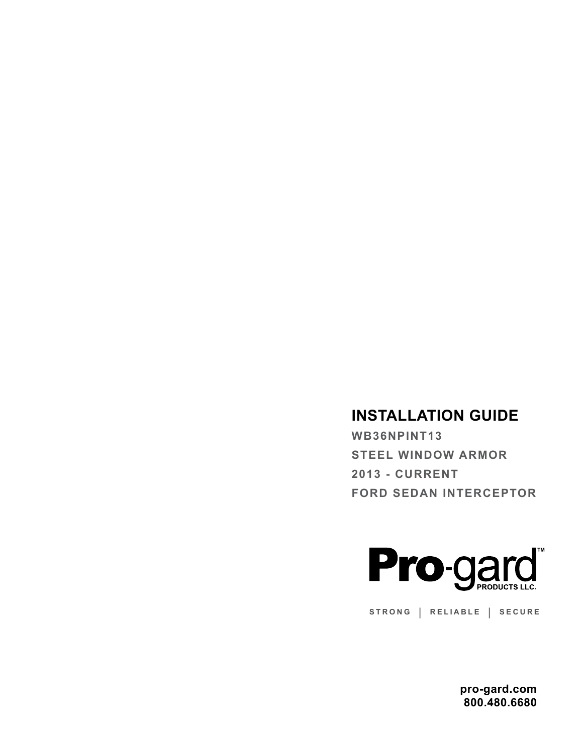## **INSTALLATION GUIDE**

**WB36NPINT13 STEEL WINDOW ARMOR 2013 - CURRENT FORD SEDAN INTERCEPTOR** 



**STRONG | RELIABLE | SECURE**

**pro-gard.com 800.480.6680**